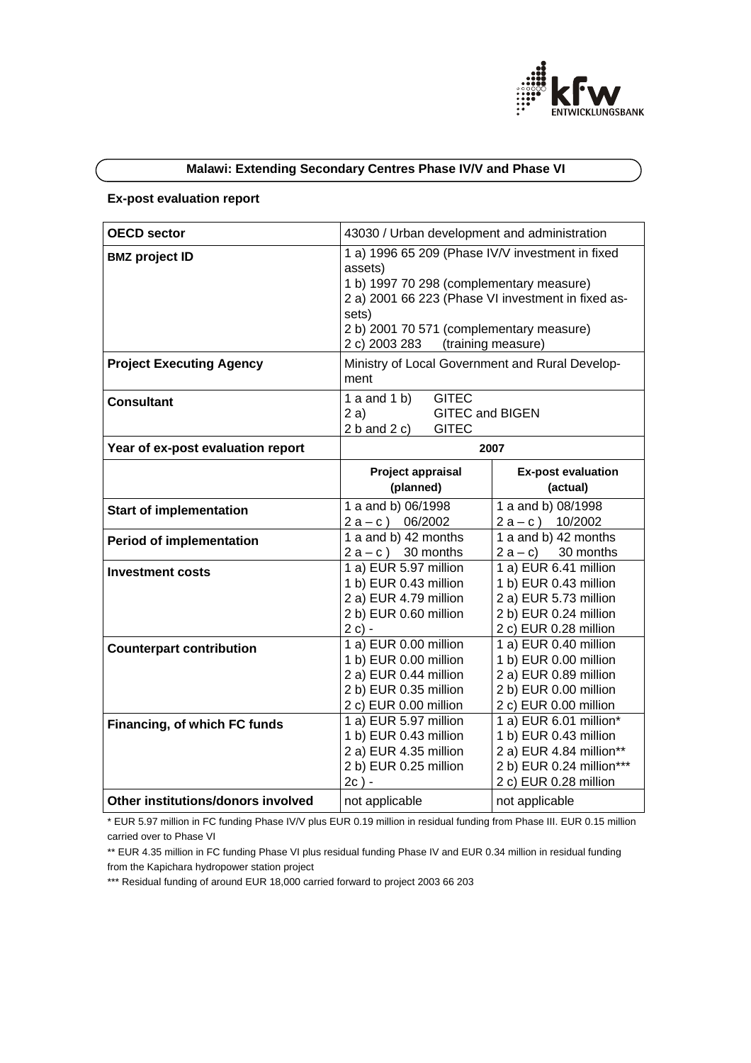

# **Malawi: Extending Secondary Centres Phase IV/V and Phase VI**

## **Ex-post evaluation report**

| <b>OECD sector</b>                 | 43030 / Urban development and administration                                                                                                                                                                                                              |                                                                                                                                 |
|------------------------------------|-----------------------------------------------------------------------------------------------------------------------------------------------------------------------------------------------------------------------------------------------------------|---------------------------------------------------------------------------------------------------------------------------------|
| <b>BMZ project ID</b>              | 1 a) 1996 65 209 (Phase IV/V investment in fixed<br>assets)<br>1 b) 1997 70 298 (complementary measure)<br>2 a) 2001 66 223 (Phase VI investment in fixed as-<br>sets)<br>2 b) 2001 70 571 (complementary measure)<br>2 c) 2003 283<br>(training measure) |                                                                                                                                 |
| <b>Project Executing Agency</b>    | Ministry of Local Government and Rural Develop-<br>ment                                                                                                                                                                                                   |                                                                                                                                 |
| <b>Consultant</b>                  | 1 a and 1 b)<br><b>GITEC</b><br>2a)<br><b>GITEC and BIGEN</b><br>$2 b$ and $2 c$ )<br><b>GITEC</b>                                                                                                                                                        |                                                                                                                                 |
| Year of ex-post evaluation report  | 2007                                                                                                                                                                                                                                                      |                                                                                                                                 |
|                                    | Project appraisal<br>(planned)                                                                                                                                                                                                                            | <b>Ex-post evaluation</b><br>(actual)                                                                                           |
| <b>Start of implementation</b>     | 1 a and b) 06/1998<br>$2a-c$ ) 06/2002                                                                                                                                                                                                                    | 1 a and b) 08/1998<br>$2a-c$ ) 10/2002                                                                                          |
| <b>Period of implementation</b>    | 1 a and b) 42 months<br>$2a-c$ ) 30 months                                                                                                                                                                                                                | 1 a and b) 42 months<br>$2a-c$<br>30 months                                                                                     |
| <b>Investment costs</b>            | 1 a) EUR 5.97 million<br>1 b) EUR 0.43 million<br>2 a) EUR 4.79 million<br>2 b) EUR 0.60 million<br>2 c) -                                                                                                                                                | 1 a) EUR 6.41 million<br>1 b) EUR 0.43 million<br>2 a) EUR 5.73 million<br>2 b) EUR 0.24 million<br>2 c) EUR 0.28 million       |
| <b>Counterpart contribution</b>    | 1 a) EUR 0.00 million<br>1 b) EUR 0.00 million<br>2 a) EUR 0.44 million<br>2 b) EUR 0.35 million<br>2 c) EUR 0.00 million                                                                                                                                 | 1 a) EUR 0.40 million<br>1 b) EUR 0.00 million<br>2 a) EUR 0.89 million<br>2 b) EUR 0.00 million<br>2 c) EUR 0.00 million       |
| Financing, of which FC funds       | 1 a) EUR 5.97 million<br>1 b) EUR 0.43 million<br>2 a) EUR 4.35 million<br>2 b) EUR 0.25 million<br>$2c$ ) -                                                                                                                                              | 1 a) EUR 6.01 million*<br>1 b) EUR 0.43 million<br>2 a) EUR 4.84 million**<br>2 b) EUR 0.24 million***<br>2 c) EUR 0.28 million |
| Other institutions/donors involved | not applicable                                                                                                                                                                                                                                            | not applicable                                                                                                                  |

\* EUR 5.97 million in FC funding Phase IV/V plus EUR 0.19 million in residual funding from Phase III. EUR 0.15 million carried over to Phase VI

\*\*\* Residual funding of around EUR 18,000 carried forward to project 2003 66 203

<sup>\*\*</sup> EUR 4.35 million in FC funding Phase VI plus residual funding Phase IV and EUR 0.34 million in residual funding from the Kapichara hydropower station project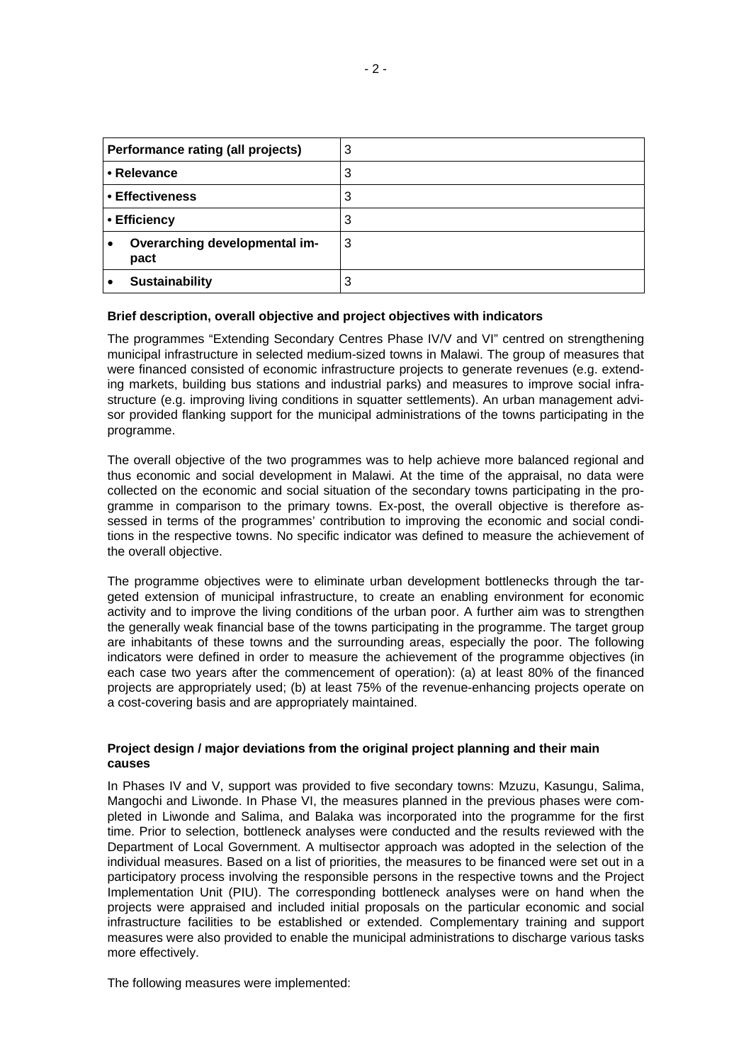| Performance rating (all projects)     | 3 |
|---------------------------------------|---|
| • Relevance                           | 3 |
| • Effectiveness                       | 3 |
| • Efficiency                          | 3 |
| Overarching developmental im-<br>pact | 3 |
| <b>Sustainability</b>                 | 3 |

### **Brief description, overall objective and project objectives with indicators**

The programmes "Extending Secondary Centres Phase IV/V and VI" centred on strengthening municipal infrastructure in selected medium-sized towns in Malawi. The group of measures that were financed consisted of economic infrastructure projects to generate revenues (e.g. extending markets, building bus stations and industrial parks) and measures to improve social infrastructure (e.g. improving living conditions in squatter settlements). An urban management advisor provided flanking support for the municipal administrations of the towns participating in the programme.

The overall objective of the two programmes was to help achieve more balanced regional and thus economic and social development in Malawi. At the time of the appraisal, no data were collected on the economic and social situation of the secondary towns participating in the programme in comparison to the primary towns. Ex-post, the overall objective is therefore assessed in terms of the programmes' contribution to improving the economic and social conditions in the respective towns. No specific indicator was defined to measure the achievement of the overall objective.

The programme objectives were to eliminate urban development bottlenecks through the targeted extension of municipal infrastructure, to create an enabling environment for economic activity and to improve the living conditions of the urban poor. A further aim was to strengthen the generally weak financial base of the towns participating in the programme. The target group are inhabitants of these towns and the surrounding areas, especially the poor. The following indicators were defined in order to measure the achievement of the programme objectives (in each case two years after the commencement of operation): (a) at least 80% of the financed projects are appropriately used; (b) at least 75% of the revenue-enhancing projects operate on a cost-covering basis and are appropriately maintained.

## **Project design / major deviations from the original project planning and their main causes**

In Phases IV and V, support was provided to five secondary towns: Mzuzu, Kasungu, Salima, Mangochi and Liwonde. In Phase VI, the measures planned in the previous phases were completed in Liwonde and Salima, and Balaka was incorporated into the programme for the first time. Prior to selection, bottleneck analyses were conducted and the results reviewed with the Department of Local Government. A multisector approach was adopted in the selection of the individual measures. Based on a list of priorities, the measures to be financed were set out in a participatory process involving the responsible persons in the respective towns and the Project Implementation Unit (PIU). The corresponding bottleneck analyses were on hand when the projects were appraised and included initial proposals on the particular economic and social infrastructure facilities to be established or extended. Complementary training and support measures were also provided to enable the municipal administrations to discharge various tasks more effectively.

The following measures were implemented: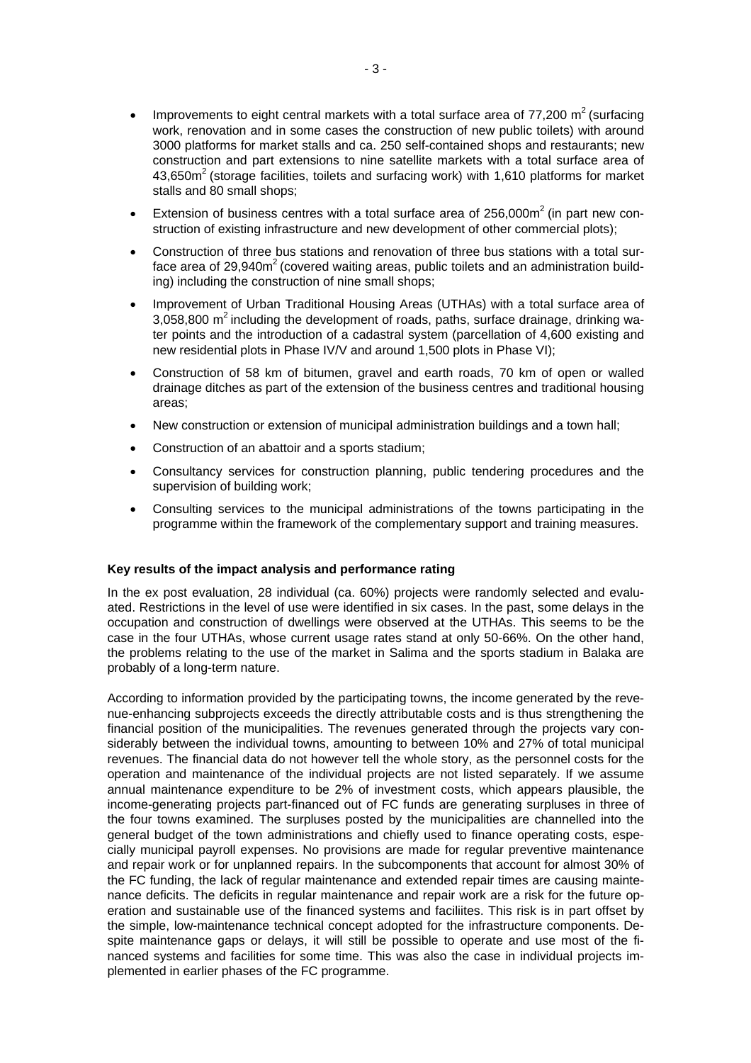- Improvements to eight central markets with a total surface area of  $77,200 \text{ m}^2$  (surfacing work, renovation and in some cases the construction of new public toilets) with around 3000 platforms for market stalls and ca. 250 self-contained shops and restaurants; new construction and part extensions to nine satellite markets with a total surface area of 43,650m<sup>2</sup> (storage facilities, toilets and surfacing work) with 1,610 platforms for market stalls and 80 small shops;
- Extension of business centres with a total surface area of  $256.000<sup>2</sup>$  (in part new construction of existing infrastructure and new development of other commercial plots);
- Construction of three bus stations and renovation of three bus stations with a total surface area of 29,940 $m<sup>2</sup>$  (covered waiting areas, public toilets and an administration building) including the construction of nine small shops;
- Improvement of Urban Traditional Housing Areas (UTHAs) with a total surface area of 3,058,800  $m^2$  including the development of roads, paths, surface drainage, drinking water points and the introduction of a cadastral system (parcellation of 4,600 existing and new residential plots in Phase IV/V and around 1,500 plots in Phase VI);
- Construction of 58 km of bitumen, gravel and earth roads, 70 km of open or walled drainage ditches as part of the extension of the business centres and traditional housing areas;
- New construction or extension of municipal administration buildings and a town hall:
- Construction of an abattoir and a sports stadium;
- Consultancy services for construction planning, public tendering procedures and the supervision of building work;
- Consulting services to the municipal administrations of the towns participating in the programme within the framework of the complementary support and training measures.

#### **Key results of the impact analysis and performance rating**

In the ex post evaluation, 28 individual (ca. 60%) projects were randomly selected and evaluated. Restrictions in the level of use were identified in six cases. In the past, some delays in the occupation and construction of dwellings were observed at the UTHAs. This seems to be the case in the four UTHAs, whose current usage rates stand at only 50-66%. On the other hand, the problems relating to the use of the market in Salima and the sports stadium in Balaka are probably of a long-term nature.

According to information provided by the participating towns, the income generated by the revenue-enhancing subprojects exceeds the directly attributable costs and is thus strengthening the financial position of the municipalities. The revenues generated through the projects vary considerably between the individual towns, amounting to between 10% and 27% of total municipal revenues. The financial data do not however tell the whole story, as the personnel costs for the operation and maintenance of the individual projects are not listed separately. If we assume annual maintenance expenditure to be 2% of investment costs, which appears plausible, the income-generating projects part-financed out of FC funds are generating surpluses in three of the four towns examined. The surpluses posted by the municipalities are channelled into the general budget of the town administrations and chiefly used to finance operating costs, especially municipal payroll expenses. No provisions are made for regular preventive maintenance and repair work or for unplanned repairs. In the subcomponents that account for almost 30% of the FC funding, the lack of regular maintenance and extended repair times are causing maintenance deficits. The deficits in regular maintenance and repair work are a risk for the future operation and sustainable use of the financed systems and faciliites. This risk is in part offset by the simple, low-maintenance technical concept adopted for the infrastructure components. Despite maintenance gaps or delays, it will still be possible to operate and use most of the financed systems and facilities for some time. This was also the case in individual projects implemented in earlier phases of the FC programme.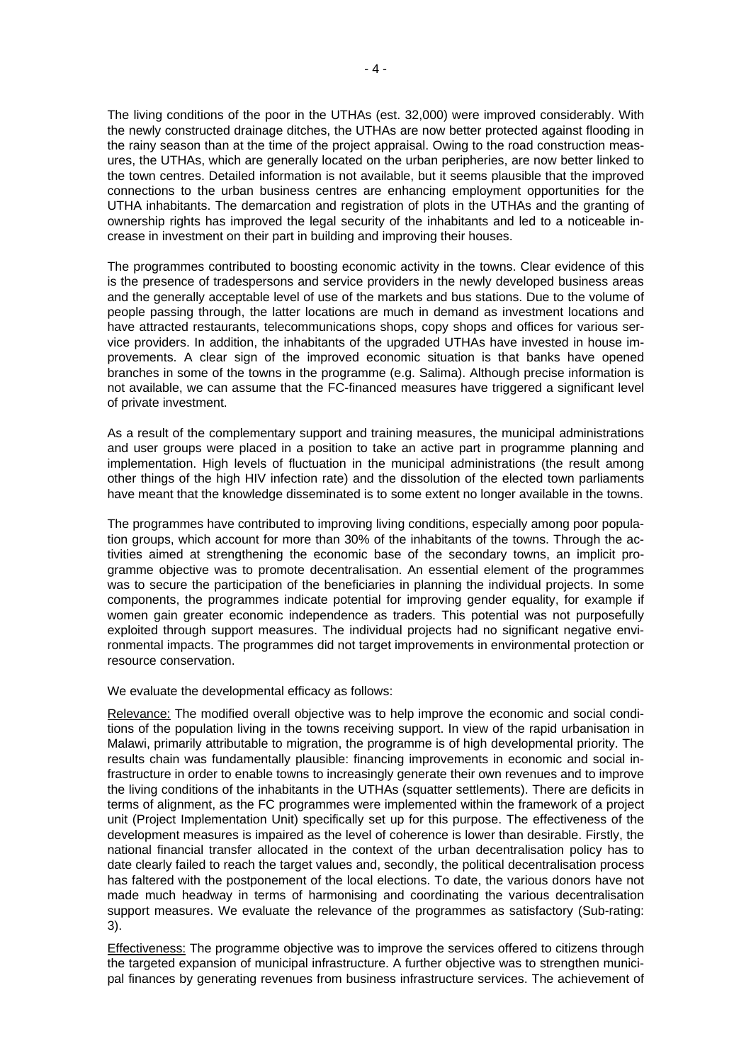The living conditions of the poor in the UTHAs (est. 32,000) were improved considerably. With the newly constructed drainage ditches, the UTHAs are now better protected against flooding in the rainy season than at the time of the project appraisal. Owing to the road construction measures, the UTHAs, which are generally located on the urban peripheries, are now better linked to the town centres. Detailed information is not available, but it seems plausible that the improved connections to the urban business centres are enhancing employment opportunities for the UTHA inhabitants. The demarcation and registration of plots in the UTHAs and the granting of ownership rights has improved the legal security of the inhabitants and led to a noticeable increase in investment on their part in building and improving their houses.

The programmes contributed to boosting economic activity in the towns. Clear evidence of this is the presence of tradespersons and service providers in the newly developed business areas and the generally acceptable level of use of the markets and bus stations. Due to the volume of people passing through, the latter locations are much in demand as investment locations and have attracted restaurants, telecommunications shops, copy shops and offices for various service providers. In addition, the inhabitants of the upgraded UTHAs have invested in house improvements. A clear sign of the improved economic situation is that banks have opened branches in some of the towns in the programme (e.g. Salima). Although precise information is not available, we can assume that the FC-financed measures have triggered a significant level of private investment.

As a result of the complementary support and training measures, the municipal administrations and user groups were placed in a position to take an active part in programme planning and implementation. High levels of fluctuation in the municipal administrations (the result among other things of the high HIV infection rate) and the dissolution of the elected town parliaments have meant that the knowledge disseminated is to some extent no longer available in the towns.

The programmes have contributed to improving living conditions, especially among poor population groups, which account for more than 30% of the inhabitants of the towns. Through the activities aimed at strengthening the economic base of the secondary towns, an implicit programme objective was to promote decentralisation. An essential element of the programmes was to secure the participation of the beneficiaries in planning the individual projects. In some components, the programmes indicate potential for improving gender equality, for example if women gain greater economic independence as traders. This potential was not purposefully exploited through support measures. The individual projects had no significant negative environmental impacts. The programmes did not target improvements in environmental protection or resource conservation.

We evaluate the developmental efficacy as follows:

Relevance: The modified overall objective was to help improve the economic and social conditions of the population living in the towns receiving support. In view of the rapid urbanisation in Malawi, primarily attributable to migration, the programme is of high developmental priority. The results chain was fundamentally plausible: financing improvements in economic and social infrastructure in order to enable towns to increasingly generate their own revenues and to improve the living conditions of the inhabitants in the UTHAs (squatter settlements). There are deficits in terms of alignment, as the FC programmes were implemented within the framework of a project unit (Project Implementation Unit) specifically set up for this purpose. The effectiveness of the development measures is impaired as the level of coherence is lower than desirable. Firstly, the national financial transfer allocated in the context of the urban decentralisation policy has to date clearly failed to reach the target values and, secondly, the political decentralisation process has faltered with the postponement of the local elections. To date, the various donors have not made much headway in terms of harmonising and coordinating the various decentralisation support measures. We evaluate the relevance of the programmes as satisfactory (Sub-rating: 3).

Effectiveness: The programme objective was to improve the services offered to citizens through the targeted expansion of municipal infrastructure. A further objective was to strengthen municipal finances by generating revenues from business infrastructure services. The achievement of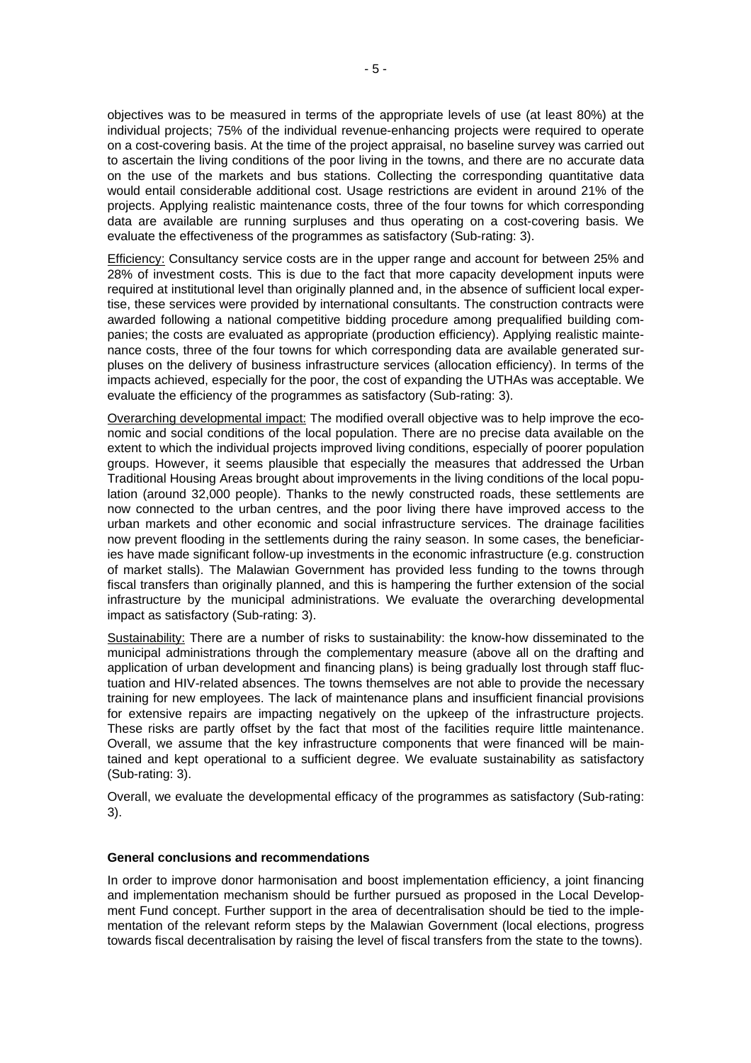objectives was to be measured in terms of the appropriate levels of use (at least 80%) at the individual projects; 75% of the individual revenue-enhancing projects were required to operate on a cost-covering basis. At the time of the project appraisal, no baseline survey was carried out to ascertain the living conditions of the poor living in the towns, and there are no accurate data on the use of the markets and bus stations. Collecting the corresponding quantitative data would entail considerable additional cost. Usage restrictions are evident in around 21% of the projects. Applying realistic maintenance costs, three of the four towns for which corresponding data are available are running surpluses and thus operating on a cost-covering basis. We evaluate the effectiveness of the programmes as satisfactory (Sub-rating: 3).

Efficiency: Consultancy service costs are in the upper range and account for between 25% and 28% of investment costs. This is due to the fact that more capacity development inputs were required at institutional level than originally planned and, in the absence of sufficient local expertise, these services were provided by international consultants. The construction contracts were awarded following a national competitive bidding procedure among prequalified building companies; the costs are evaluated as appropriate (production efficiency). Applying realistic maintenance costs, three of the four towns for which corresponding data are available generated surpluses on the delivery of business infrastructure services (allocation efficiency). In terms of the impacts achieved, especially for the poor, the cost of expanding the UTHAs was acceptable. We evaluate the efficiency of the programmes as satisfactory (Sub-rating: 3).

Overarching developmental impact: The modified overall objective was to help improve the economic and social conditions of the local population. There are no precise data available on the extent to which the individual projects improved living conditions, especially of poorer population groups. However, it seems plausible that especially the measures that addressed the Urban Traditional Housing Areas brought about improvements in the living conditions of the local population (around 32,000 people). Thanks to the newly constructed roads, these settlements are now connected to the urban centres, and the poor living there have improved access to the urban markets and other economic and social infrastructure services. The drainage facilities now prevent flooding in the settlements during the rainy season. In some cases, the beneficiaries have made significant follow-up investments in the economic infrastructure (e.g. construction of market stalls). The Malawian Government has provided less funding to the towns through fiscal transfers than originally planned, and this is hampering the further extension of the social infrastructure by the municipal administrations. We evaluate the overarching developmental impact as satisfactory (Sub-rating: 3).

Sustainability: There are a number of risks to sustainability: the know-how disseminated to the municipal administrations through the complementary measure (above all on the drafting and application of urban development and financing plans) is being gradually lost through staff fluctuation and HIV-related absences. The towns themselves are not able to provide the necessary training for new employees. The lack of maintenance plans and insufficient financial provisions for extensive repairs are impacting negatively on the upkeep of the infrastructure projects. These risks are partly offset by the fact that most of the facilities require little maintenance. Overall, we assume that the key infrastructure components that were financed will be maintained and kept operational to a sufficient degree. We evaluate sustainability as satisfactory (Sub-rating: 3).

Overall, we evaluate the developmental efficacy of the programmes as satisfactory (Sub-rating: 3).

#### **General conclusions and recommendations**

In order to improve donor harmonisation and boost implementation efficiency, a joint financing and implementation mechanism should be further pursued as proposed in the Local Development Fund concept. Further support in the area of decentralisation should be tied to the implementation of the relevant reform steps by the Malawian Government (local elections, progress towards fiscal decentralisation by raising the level of fiscal transfers from the state to the towns).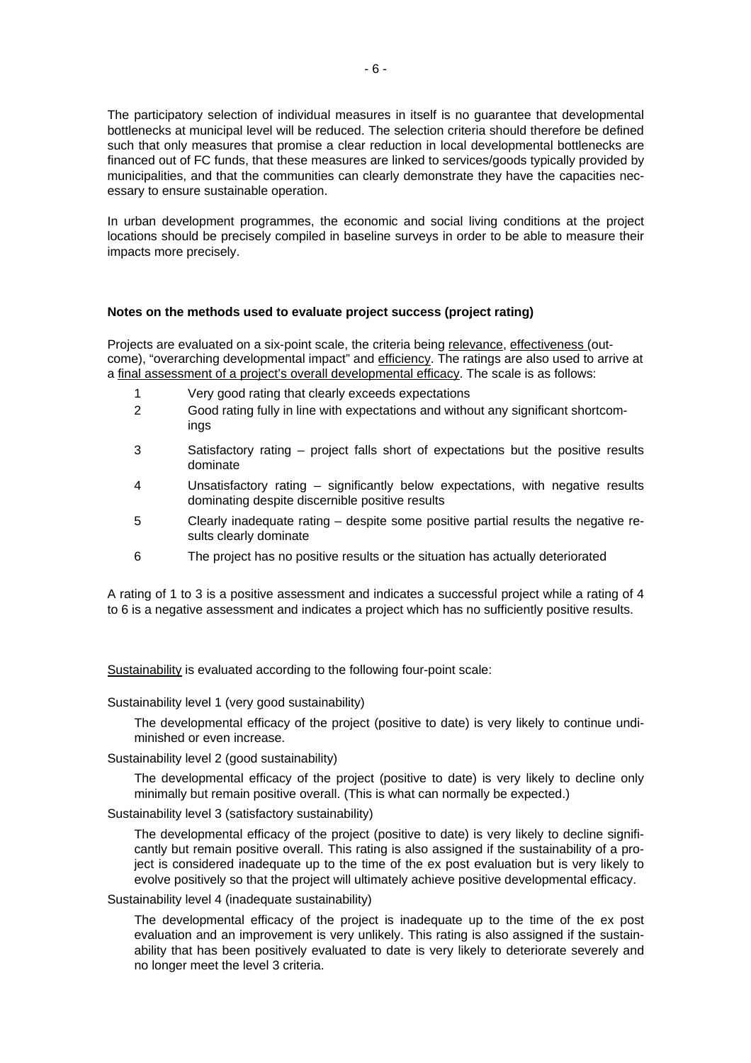The participatory selection of individual measures in itself is no guarantee that developmental bottlenecks at municipal level will be reduced. The selection criteria should therefore be defined such that only measures that promise a clear reduction in local developmental bottlenecks are financed out of FC funds, that these measures are linked to services/goods typically provided by municipalities, and that the communities can clearly demonstrate they have the capacities necessary to ensure sustainable operation.

In urban development programmes, the economic and social living conditions at the project locations should be precisely compiled in baseline surveys in order to be able to measure their impacts more precisely.

#### **Notes on the methods used to evaluate project success (project rating)**

Projects are evaluated on a six-point scale, the criteria being relevance, effectiveness (outcome), "overarching developmental impact" and efficiency. The ratings are also used to arrive at a final assessment of a project's overall developmental efficacy. The scale is as follows:

- 1 Very good rating that clearly exceeds expectations
- 2 Good rating fully in line with expectations and without any significant shortcomings
- 3 Satisfactory rating project falls short of expectations but the positive results dominate
- 4 Unsatisfactory rating significantly below expectations, with negative results dominating despite discernible positive results
- 5 Clearly inadequate rating despite some positive partial results the negative results clearly dominate
- 6 The project has no positive results or the situation has actually deteriorated

A rating of 1 to 3 is a positive assessment and indicates a successful project while a rating of 4 to 6 is a negative assessment and indicates a project which has no sufficiently positive results.

Sustainability is evaluated according to the following four-point scale:

Sustainability level 1 (very good sustainability)

The developmental efficacy of the project (positive to date) is very likely to continue undiminished or even increase.

Sustainability level 2 (good sustainability)

The developmental efficacy of the project (positive to date) is very likely to decline only minimally but remain positive overall. (This is what can normally be expected.)

Sustainability level 3 (satisfactory sustainability)

The developmental efficacy of the project (positive to date) is very likely to decline significantly but remain positive overall. This rating is also assigned if the sustainability of a project is considered inadequate up to the time of the ex post evaluation but is very likely to evolve positively so that the project will ultimately achieve positive developmental efficacy.

#### Sustainability level 4 (inadequate sustainability)

The developmental efficacy of the project is inadequate up to the time of the ex post evaluation and an improvement is very unlikely. This rating is also assigned if the sustainability that has been positively evaluated to date is very likely to deteriorate severely and no longer meet the level 3 criteria.